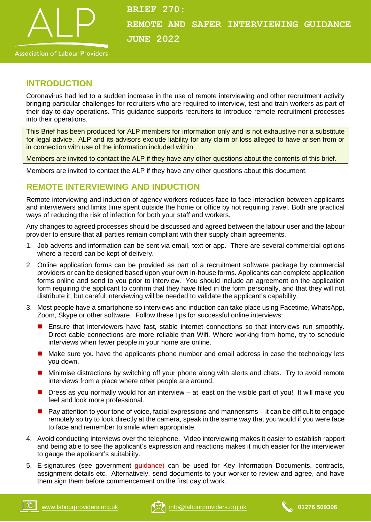

## **Association of Labour Providers**

#### **INTRODUCTION**

Coronavirus had led to a sudden increase in the use of remote interviewing and other recruitment activity bringing particular challenges for recruiters who are required to interview, test and train workers as part of their day-to-day operations. This guidance supports recruiters to introduce remote recruitment processes into their operations.

This Brief has been produced for ALP members for information only and is not exhaustive nor a substitute for legal advice. ALP and its advisors exclude liability for any claim or loss alleged to have arisen from or in connection with use of the information included within.

Members are invited to contact the ALP if they have any other questions about the contents of this brief.

Members are invited to contact the ALP if they have any other questions about this document.

#### **REMOTE INTERVIEWING AND INDUCTION**

Remote interviewing and induction of agency workers reduces face to face interaction between applicants and interviewers and limits time spent outside the home or office by not requiring travel. Both are practical ways of reducing the risk of infection for both your staff and workers.

Any changes to agreed processes should be discussed and agreed between the labour user and the labour provider to ensure that all parties remain compliant with their supply chain agreements.

- 1. Job adverts and information can be sent via email, text or app. There are several commercial options where a record can be kept of delivery.
- 2. Online application forms can be provided as part of a recruitment software package by commercial providers or can be designed based upon your own in-house forms. Applicants can complete application forms online and send to you prior to interview. You should include an agreement on the application form requiring the applicant to confirm that they have filled in the form personally, and that they will not distribute it, but careful interviewing will be needed to validate the applicant's capability.
- 3. Most people have a smartphone so interviews and induction can take place using Facetime, WhatsApp, Zoom, Skype or other software. Follow these tips for successful online interviews:
	- **E** Ensure that interviewers have fast, stable internet connections so that interviews run smoothly. Direct cable connections are more reliable than Wifi. Where working from home, try to schedule interviews when fewer people in your home are online.
	- Make sure you have the applicants phone number and email address in case the technology lets you down.
	- **Minimise distractions by switching off your phone along with alerts and chats. Try to avoid remote** interviews from a place where other people are around.
	- $\blacksquare$  Dress as you normally would for an interview at least on the visible part of you! It will make you feel and look more professional.
	- Pay attention to your tone of voice, facial expressions and mannerisms it can be difficult to engage remotely so try to look directly at the camera, speak in the same way that you would if you were face to face and remember to smile when appropriate.
- 4. Avoid conducting interviews over the telephone. Video interviewing makes it easier to establish rapport and being able to see the applicant's expression and reactions makes it much easier for the interviewer to gauge the applicant's suitability.
- 5. E-signatures (see government [guidance\)](https://www.gov.uk/government/publications/electronic-signatures) can be used for Key Information Documents, contracts, assignment details etc. Alternatively, send documents to your worker to review and agree, and have them sign them before commencement on the first day of work.



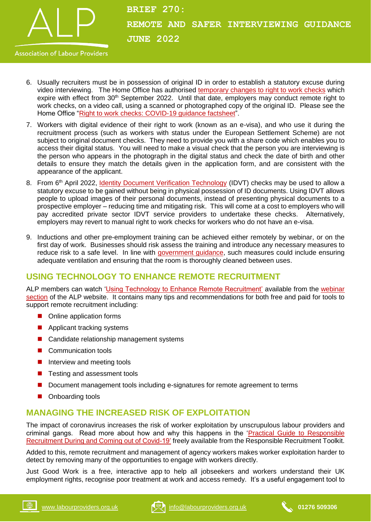

- 6. Usually recruiters must be in possession of original ID in order to establish a statutory excuse during video interviewing. The Home Office has authorised [temporary changes to right to work checks](https://www.gov.uk/guidance/coronavirus-covid-19-right-to-work-checks) which expire with effect from 30<sup>th</sup> September 2022. Until that date, employers may conduct remote right to work checks, on a video call, using a scanned or photographed copy of the original ID. Please see the Home Office ["Right to work checks: COVID-19 guidance factsheet"](https://labourproviders.org.uk/wp-content/uploads/2020/04/Right-to-Work-COVID-19-factsheet.pdf).
- 7. Workers with digital evidence of their right to work (known as an e-visa), and who use it during the recruitment process (such as workers with status under the European Settlement Scheme) are not subject to original document checks. They need to provide you with a share code which enables you to access their digital status. You will need to make a visual check that the person you are interviewing is the person who appears in the photograph in the digital status and check the date of birth and other details to ensure they match the details given in the application form, and are consistent with the appearance of the applicant.
- 8. From 6<sup>th</sup> April 2022, *Identity [Document Verification Technology](https://www.gov.uk/government/publications/digital-identity-document-validation-technology-idvt/identity-document-validation-technology-in-the-right-to-work-and-right-to-rent-schemes-and-dbs-pre-employment-checking-accessible-version)* (IDVT) checks may be used to allow a statutory excuse to be gained without being in physical possession of ID documents. Using IDVT allows people to upload images of their personal documents, instead of presenting physical documents to a prospective employer – reducing time and mitigating risk. This will come at a cost to employers who will pay accredited private sector IDVT service providers to undertake these checks. Alternatively, employers may revert to manual right to work checks for workers who do not have an e-visa.
- 9. Inductions and other pre-employment training can be achieved either remotely by webinar, or on the first day of work. Businesses should risk assess the training and introduce any necessary measures to reduce risk to a safe level. In line with [government guidance,](https://www.gov.uk/government/publications/guidance-to-employers-and-businesses-about-covid-19/guidance-for-employers-and-businesses-on-coronavirus-covid-19) such measures could include ensuring adequate ventilation and ensuring that the room is thoroughly cleaned between uses.

### **USING TECHNOLOGY TO ENHANCE REMOTE RECRUITMENT**

ALP members can watch ['Using Technology to Enhance Remote Recruitment'](https://www.labourproviders.org.uk/resources/?_sf_s=TECHNOLOGY&_sft_filed=webinars) available from the webinar [section](https://labourproviders.org.uk/resources/?_sft_filed=webinars) of the ALP website. It contains many tips and recommendations for both free and paid for tools to support remote recruitment including:

- Online application forms
- Applicant tracking systems
- Candidate relationship management systems
- Communication tools
- **Interview and meeting tools**
- Testing and assessment tools
- Document management tools including e-signatures for remote agreement to terms
- Onboarding tools

# **MANAGING THE INCREASED RISK OF EXPLOITATION**

The impact of coronavirus increases the risk of worker exploitation by unscrupulous labour providers and criminal gangs. Read more about how and why this happens in the ['Practical Guide to Responsible](https://responsiblerecruitmenttoolkit.org/download/5047/)  [Recruitment During and Coming](https://responsiblerecruitmenttoolkit.org/download/5047/) out of Covid-19' freely available from the Responsible Recruitment Toolkit.

Added to this, remote recruitment and management of agency workers makes worker exploitation harder to detect by removing many of the opportunities to engage with workers directly.

Just Good Work is a free, interactive app to help all jobseekers and workers understand their UK employment rights, recognise poor treatment at work and access remedy. It's a useful engagement tool to